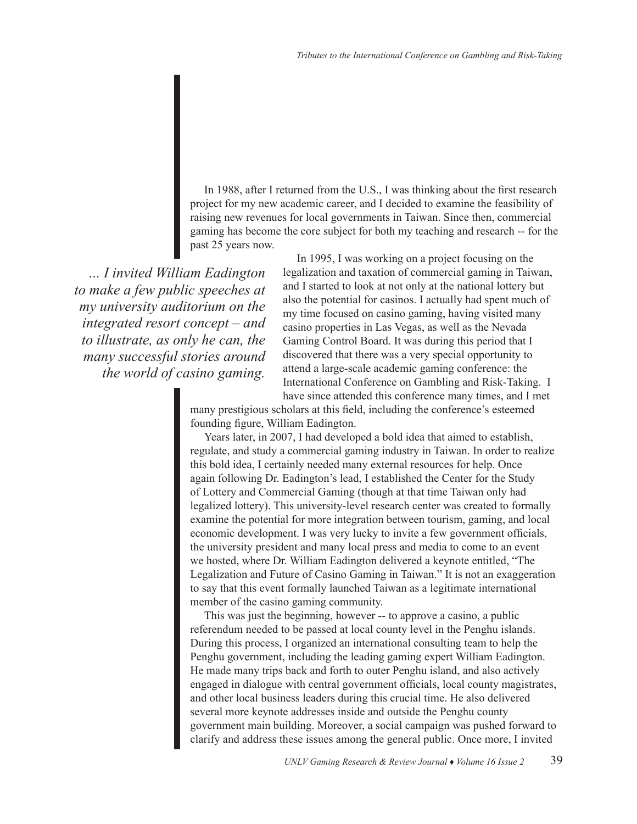In 1988, after I returned from the U.S., I was thinking about the first research project for my new academic career, and I decided to examine the feasibility of raising new revenues for local governments in Taiwan. Since then, commercial gaming has become the core subject for both my teaching and research -- for the past 25 years now.

*... I invited William Eadington to make a few public speeches at my university auditorium on the integrated resort concept – and to illustrate, as only he can, the many successful stories around the world of casino gaming.*

In 1995, I was working on a project focusing on the legalization and taxation of commercial gaming in Taiwan, and I started to look at not only at the national lottery but also the potential for casinos. I actually had spent much of my time focused on casino gaming, having visited many casino properties in Las Vegas, as well as the Nevada Gaming Control Board. It was during this period that I discovered that there was a very special opportunity to attend a large-scale academic gaming conference: the International Conference on Gambling and Risk-Taking. I have since attended this conference many times, and I met

many prestigious scholars at this field, including the conference's esteemed founding figure, William Eadington.

Years later, in 2007, I had developed a bold idea that aimed to establish, regulate, and study a commercial gaming industry in Taiwan. In order to realize this bold idea, I certainly needed many external resources for help. Once again following Dr. Eadington's lead, I established the Center for the Study of Lottery and Commercial Gaming (though at that time Taiwan only had legalized lottery). This university-level research center was created to formally examine the potential for more integration between tourism, gaming, and local economic development. I was very lucky to invite a few government officials, the university president and many local press and media to come to an event we hosted, where Dr. William Eadington delivered a keynote entitled, "The Legalization and Future of Casino Gaming in Taiwan." It is not an exaggeration to say that this event formally launched Taiwan as a legitimate international member of the casino gaming community.

This was just the beginning, however -- to approve a casino, a public referendum needed to be passed at local county level in the Penghu islands. During this process, I organized an international consulting team to help the Penghu government, including the leading gaming expert William Eadington. He made many trips back and forth to outer Penghu island, and also actively engaged in dialogue with central government officials, local county magistrates, and other local business leaders during this crucial time. He also delivered several more keynote addresses inside and outside the Penghu county government main building. Moreover, a social campaign was pushed forward to clarify and address these issues among the general public. Once more, I invited